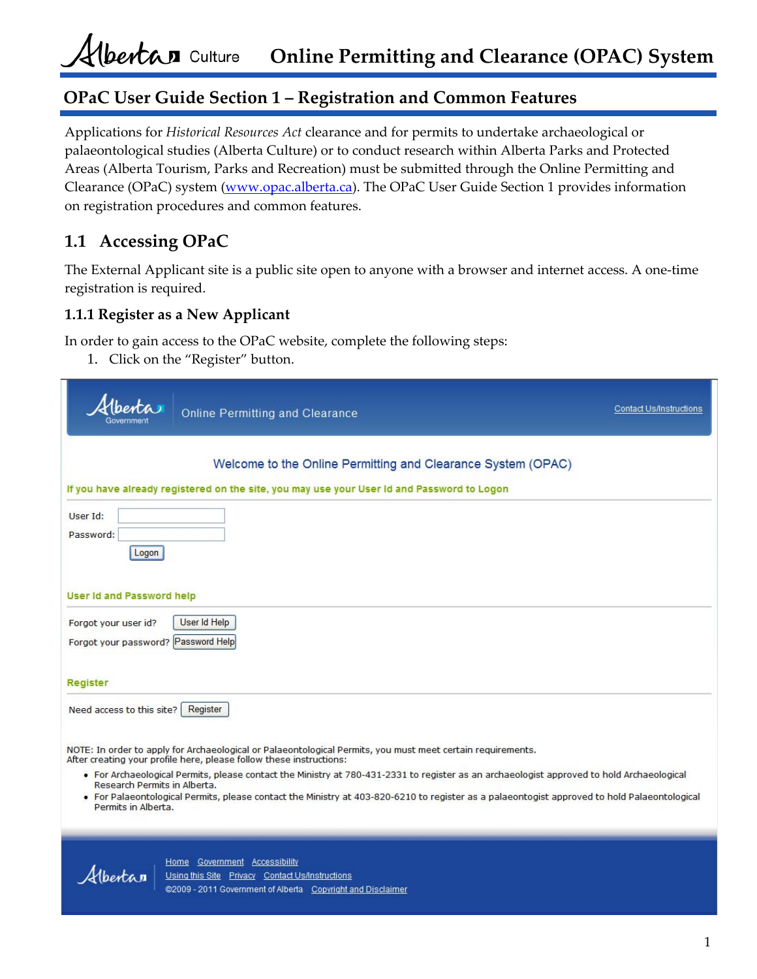# **OPaC User Guide Section 1 – Registration and Common Features**

Applications for *Historical Resources Act* clearance and for permits to undertake archaeological or palaeontological studies (Alberta Culture) or to conduct research within Alberta Parks and Protected Areas (Alberta Tourism, Parks and Recreation) must be submitted through the Online Permitting and Clearance (OPaC) system (www.opac.alberta.ca). The OPaC User Guide Section 1 provides information on registration procedures and common features.

# **1.1 Accessing OPaC**

The External Applicant site is a public site open to anyone with a browser and internet access. A one‐time registration is required.

### **1.1.1 Register as a New Applicant**

In order to gain access to the OPaC website, complete the following steps:

1. Click on the "Register" button.

| <b>Online Permitting and Clearance</b>                                                                                                                                                                                                                                                                                                                                                                                                                                                                                                 | Contact Us/Instructions |
|----------------------------------------------------------------------------------------------------------------------------------------------------------------------------------------------------------------------------------------------------------------------------------------------------------------------------------------------------------------------------------------------------------------------------------------------------------------------------------------------------------------------------------------|-------------------------|
| Welcome to the Online Permitting and Clearance System (OPAC)<br>If you have already registered on the site, you may use your User Id and Password to Logon                                                                                                                                                                                                                                                                                                                                                                             |                         |
| User Id:<br>Password:<br>Logon                                                                                                                                                                                                                                                                                                                                                                                                                                                                                                         |                         |
| <b>User Id and Password help</b><br>User Id Help<br>Forgot your user id?<br>Forgot your password? Password Help                                                                                                                                                                                                                                                                                                                                                                                                                        |                         |
| Register                                                                                                                                                                                                                                                                                                                                                                                                                                                                                                                               |                         |
| Need access to this site?<br>Register                                                                                                                                                                                                                                                                                                                                                                                                                                                                                                  |                         |
| NOTE: In order to apply for Archaeological or Palaeontological Permits, you must meet certain requirements.<br>After creating your profile here, please follow these instructions:<br>• For Archaeological Permits, please contact the Ministry at 780-431-2331 to register as an archaeologist approved to hold Archaeological<br>Research Permits in Alberta.<br>• For Palaeontological Permits, please contact the Ministry at 403-820-6210 to register as a palaeontogist approved to hold Palaeontological<br>Permits in Alberta. |                         |
| Home Government Accessibility<br>Albertan<br>Using this Site Privacy Contact Us/Instructions                                                                                                                                                                                                                                                                                                                                                                                                                                           |                         |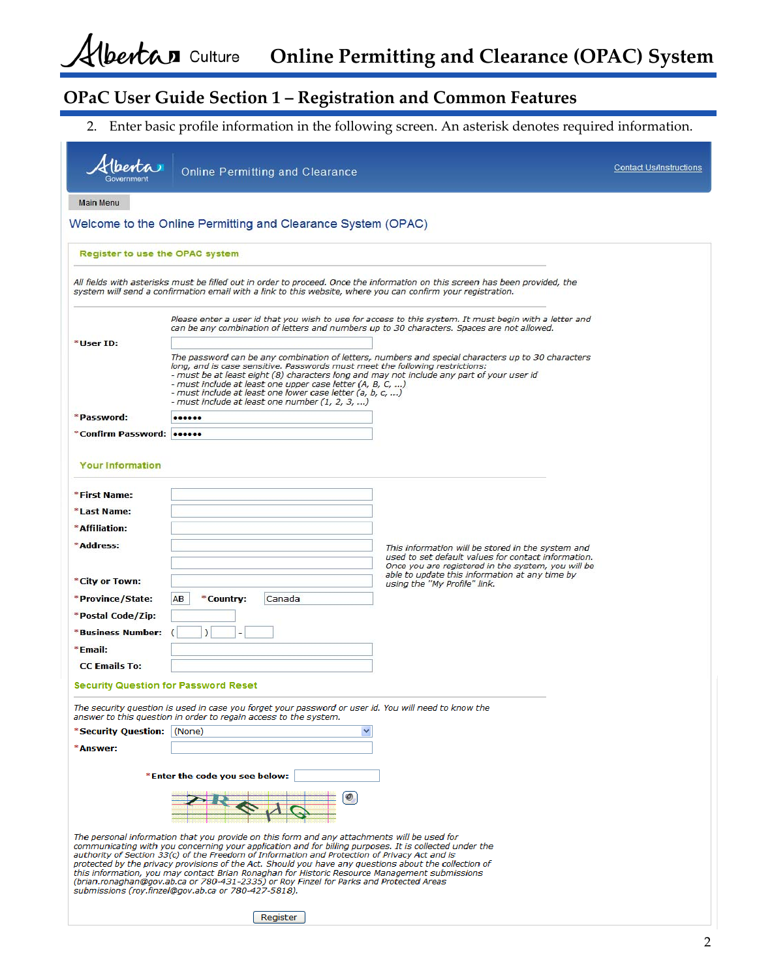**Online Permitting and Clearance (OPAC) System**

# **OPaC User Guide Section 1 – Registration and Common Features**

2. Enter basic profile information in the following screen. An asterisk denotes required information.

|                                             | <b>Online Permitting and Clearance</b>                                                                                                                                                                                                                                                                                                                                                                                                                                                                                                                                                                                                                                        |                                                                                                                                                                | Contact Us/Instructions |
|---------------------------------------------|-------------------------------------------------------------------------------------------------------------------------------------------------------------------------------------------------------------------------------------------------------------------------------------------------------------------------------------------------------------------------------------------------------------------------------------------------------------------------------------------------------------------------------------------------------------------------------------------------------------------------------------------------------------------------------|----------------------------------------------------------------------------------------------------------------------------------------------------------------|-------------------------|
| <b>Main Menu</b>                            |                                                                                                                                                                                                                                                                                                                                                                                                                                                                                                                                                                                                                                                                               |                                                                                                                                                                |                         |
|                                             | Welcome to the Online Permitting and Clearance System (OPAC)                                                                                                                                                                                                                                                                                                                                                                                                                                                                                                                                                                                                                  |                                                                                                                                                                |                         |
| Register to use the OPAC system             |                                                                                                                                                                                                                                                                                                                                                                                                                                                                                                                                                                                                                                                                               |                                                                                                                                                                |                         |
|                                             | system will send a confirmation email with a link to this website, where you can confirm your registration.                                                                                                                                                                                                                                                                                                                                                                                                                                                                                                                                                                   | All fields with asterisks must be filled out in order to proceed. Once the information on this screen has been provided, the                                   |                         |
|                                             | can be any combination of letters and numbers up to 30 characters. Spaces are not allowed.                                                                                                                                                                                                                                                                                                                                                                                                                                                                                                                                                                                    | Please enter a user id that you wish to use for access to this system. It must begin with a letter and                                                         |                         |
| *User ID:                                   | long, and is case sensitive. Passwords must meet the following restrictions:<br>- must be at least eight (8) characters long and may not include any part of your user id<br>- must include at least one upper case letter (A, B, C, )<br>- must include at least one lower case letter (a, b, c, )<br>- must include at least one number (1, 2, 3, )                                                                                                                                                                                                                                                                                                                         | The password can be any combination of letters, numbers and special characters up to 30 characters                                                             |                         |
| *Password:                                  |                                                                                                                                                                                                                                                                                                                                                                                                                                                                                                                                                                                                                                                                               |                                                                                                                                                                |                         |
| *Confirm Password: 000000                   |                                                                                                                                                                                                                                                                                                                                                                                                                                                                                                                                                                                                                                                                               |                                                                                                                                                                |                         |
| <b>Your Information</b>                     |                                                                                                                                                                                                                                                                                                                                                                                                                                                                                                                                                                                                                                                                               |                                                                                                                                                                |                         |
| *First Name:                                |                                                                                                                                                                                                                                                                                                                                                                                                                                                                                                                                                                                                                                                                               |                                                                                                                                                                |                         |
| *Last Name:                                 |                                                                                                                                                                                                                                                                                                                                                                                                                                                                                                                                                                                                                                                                               |                                                                                                                                                                |                         |
| *Affiliation:                               |                                                                                                                                                                                                                                                                                                                                                                                                                                                                                                                                                                                                                                                                               |                                                                                                                                                                |                         |
| *Address:                                   |                                                                                                                                                                                                                                                                                                                                                                                                                                                                                                                                                                                                                                                                               | This information will be stored in the system and<br>used to set default values for contact information.<br>Once you are registered in the system, you will be |                         |
| *City or Town:                              |                                                                                                                                                                                                                                                                                                                                                                                                                                                                                                                                                                                                                                                                               | able to update this information at any time by<br>using the "My Profile" link.                                                                                 |                         |
| *Province/State:                            | Canada<br>AB<br>*Country:                                                                                                                                                                                                                                                                                                                                                                                                                                                                                                                                                                                                                                                     |                                                                                                                                                                |                         |
| *Postal Code/Zip:                           |                                                                                                                                                                                                                                                                                                                                                                                                                                                                                                                                                                                                                                                                               |                                                                                                                                                                |                         |
| *Business Number:                           |                                                                                                                                                                                                                                                                                                                                                                                                                                                                                                                                                                                                                                                                               |                                                                                                                                                                |                         |
| *Email:                                     |                                                                                                                                                                                                                                                                                                                                                                                                                                                                                                                                                                                                                                                                               |                                                                                                                                                                |                         |
| <b>CC Emails To:</b>                        |                                                                                                                                                                                                                                                                                                                                                                                                                                                                                                                                                                                                                                                                               |                                                                                                                                                                |                         |
| <b>Security Question for Password Reset</b> |                                                                                                                                                                                                                                                                                                                                                                                                                                                                                                                                                                                                                                                                               |                                                                                                                                                                |                         |
|                                             | The security question is used in case you forget your password or user id. You will need to know the<br>answer to this question in order to regain access to the system.                                                                                                                                                                                                                                                                                                                                                                                                                                                                                                      |                                                                                                                                                                |                         |
| *Security Question:   (None)                |                                                                                                                                                                                                                                                                                                                                                                                                                                                                                                                                                                                                                                                                               |                                                                                                                                                                |                         |
| *Answer:                                    |                                                                                                                                                                                                                                                                                                                                                                                                                                                                                                                                                                                                                                                                               |                                                                                                                                                                |                         |
|                                             | *Enter the code you see below:                                                                                                                                                                                                                                                                                                                                                                                                                                                                                                                                                                                                                                                |                                                                                                                                                                |                         |
|                                             |                                                                                                                                                                                                                                                                                                                                                                                                                                                                                                                                                                                                                                                                               |                                                                                                                                                                |                         |
|                                             | The personal information that you provide on this form and any attachments will be used for<br>communicating with you concerning your application and for billing purposes. It is collected under the<br>authority of Section 33(c) of the Freedom of Information and Protection of Privacy Act and is<br>protected by the privacy provisions of the Act. Should you have any questions about the collection of<br>this information, you may contact Brian Ronaghan for Historic Resource Management submissions<br>(brian.ronaghan@gov.ab.ca or 780-431-2335) or Roy Finzel for Parks and Protected Areas<br>submissions (roy.finzel@gov.ab.ca or 780-427-5818).<br>Register |                                                                                                                                                                |                         |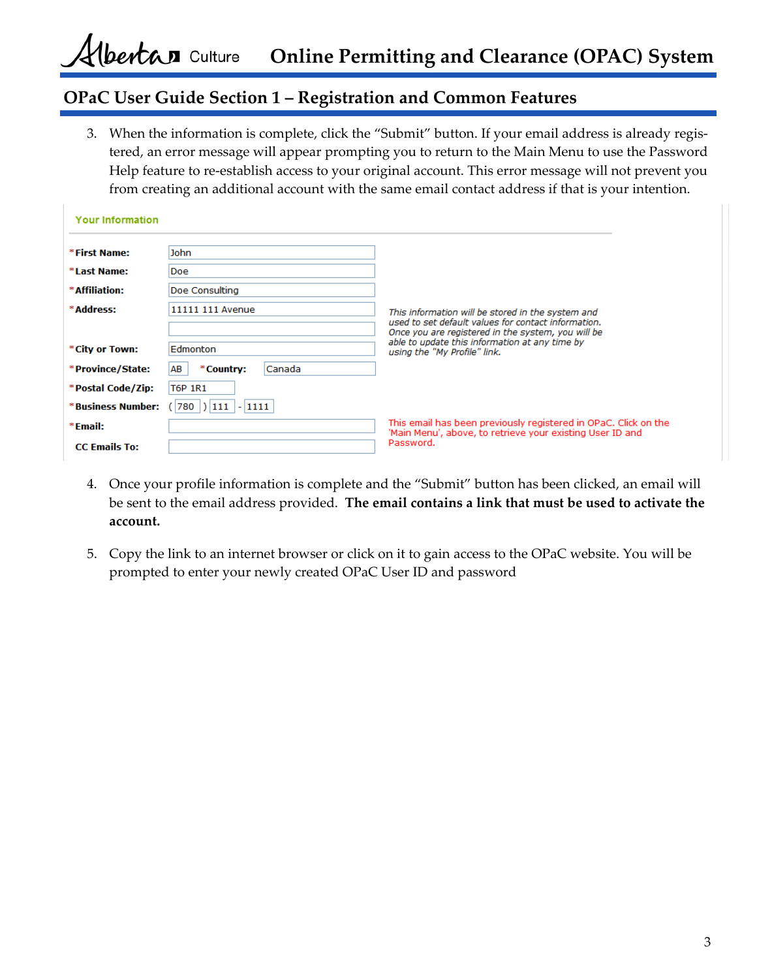## **OPaC User Guide Section 1 – Registration and Common Features**

3. When the information is complete, click the "Submit" button. If your email address is already regis‐ tered, an error message will appear prompting you to return to the Main Menu to use the Password Help feature to re‐establish access to your original account. This error message will not prevent you from creating an additional account with the same email contact address if that is your intention.

| <b>Your Information</b> |                             |                                                                                                                              |
|-------------------------|-----------------------------|------------------------------------------------------------------------------------------------------------------------------|
| *First Name:            | John                        |                                                                                                                              |
| *Last Name:             | <b>Doe</b>                  |                                                                                                                              |
| * Affiliation:          | Doe Consulting              |                                                                                                                              |
| *Address:               | 11111 111 Avenue            | This information will be stored in the system and                                                                            |
|                         |                             | used to set default values for contact information.<br>Once you are registered in the system, you will be                    |
| *City or Town:          | Edmonton                    | able to update this information at any time by<br>using the "My Profile" link.                                               |
| *Province/State:        | AB<br>Canada<br>*Country:   |                                                                                                                              |
| *Postal Code/Zip:       | <b>T6P 1R1</b>              |                                                                                                                              |
| *Business Number:       | $780$  ) $ 111$   - $ 1111$ |                                                                                                                              |
| $*$ Email:              |                             | This email has been previously registered in OPaC. Click on the<br>'Main Menu', above, to retrieve your existing User ID and |
| <b>CC Emails To:</b>    |                             | Password.                                                                                                                    |

- 4. Once your profile information is complete and the "Submit" button has been clicked, an email will be sent to the email address provided. **The email contains a link that must be used to activate the account.**
- 5. Copy the link to an internet browser or click on it to gain access to the OPaC website. You will be prompted to enter your newly created OPaC User ID and password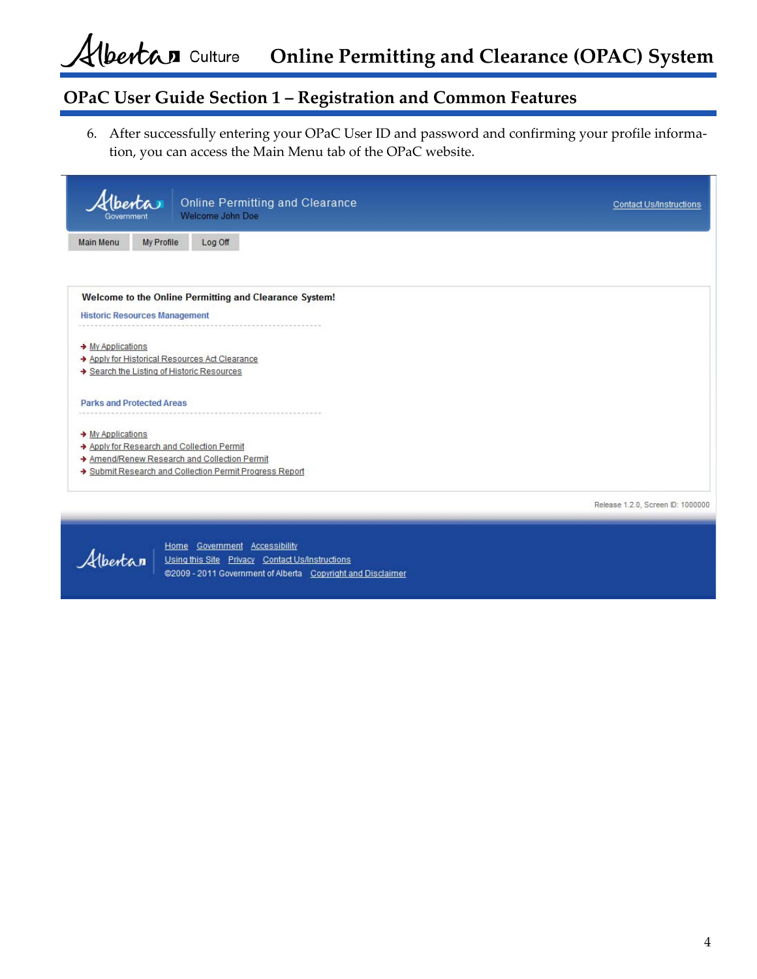**Online Permitting and Clearance (OPAC) System**

# **OPaC User Guide Section 1 – Registration and Common Features**

6. After successfully entering your OPaC User ID and password and confirming your profile informa‐ tion, you can access the Main Menu tab of the OPaC website.

| (berta<br><b>Online Permitting and Clearance</b><br>Welcome John Doe<br>Government                                                                                   | <b>Contact Us/Instructions</b>    |
|----------------------------------------------------------------------------------------------------------------------------------------------------------------------|-----------------------------------|
| My Profile<br>Log Off<br><b>Main Menu</b>                                                                                                                            |                                   |
| Welcome to the Online Permitting and Clearance System!<br><b>Historic Resources Management</b>                                                                       |                                   |
| → My Applications<br>Apply for Historical Resources Act Clearance<br>Search the Listing of Historic Resources                                                        |                                   |
| <b>Parks and Protected Areas</b>                                                                                                                                     |                                   |
| → My Applications<br>Apply for Research and Collection Permit<br>Amend/Renew Research and Collection Permit<br>Submit Research and Collection Permit Progress Report |                                   |
|                                                                                                                                                                      | Release 1.2.0, Screen ID: 1000000 |



Home Government Accessibility Using this Site Privacy Contact Us/Instructions @2009 - 2011 Government of Alberta Copyright and Disclaimer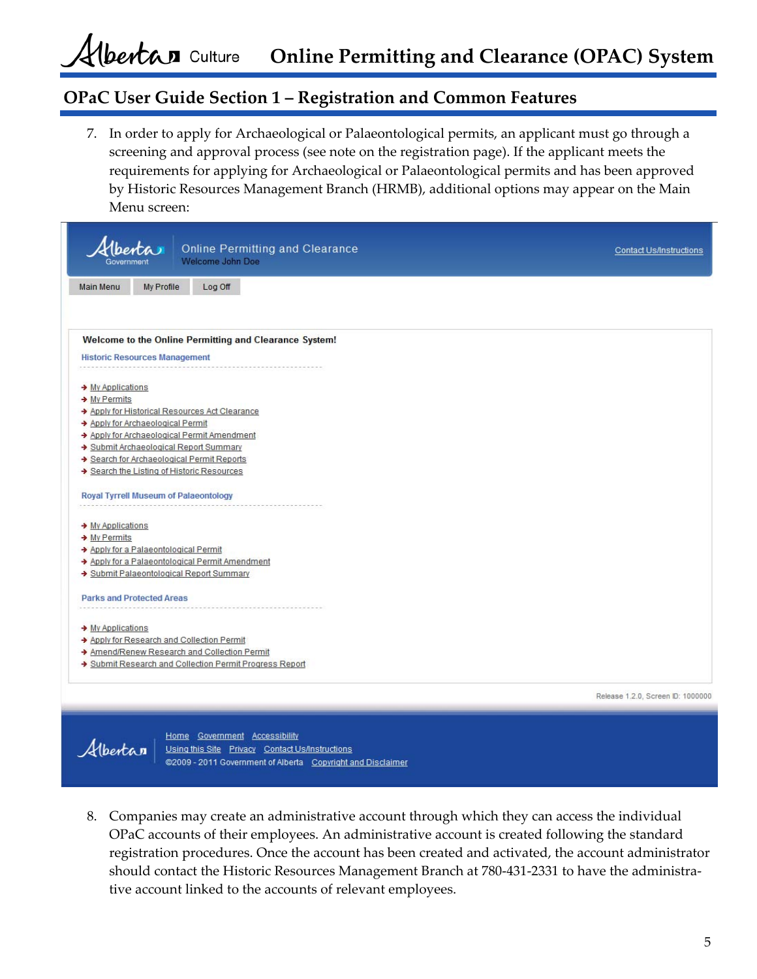### **OPaC User Guide Section 1 – Registration and Common Features**

7. In order to apply for Archaeological or Palaeontological permits, an applicant must go through a screening and approval process (see note on the registration page). If the applicant meets the requirements for applying for Archaeological or Palaeontological permits and has been approved by Historic Resources Management Branch (HRMB), additional options may appear on the Main Menu screen:

| benta<br><b>Online Permitting and Clearance</b><br>Welcome John Doe | <b>Contact Us/Instructions</b>    |
|---------------------------------------------------------------------|-----------------------------------|
| My Profile<br>Log Off<br>Main Menu                                  |                                   |
|                                                                     |                                   |
| Welcome to the Online Permitting and Clearance System!              |                                   |
| <b>Historic Resources Management</b>                                |                                   |
|                                                                     |                                   |
| → My Applications                                                   |                                   |
| $\rightarrow$ My Permits                                            |                                   |
| Apply for Historical Resources Act Clearance                        |                                   |
| → Apply for Archaeological Permit                                   |                                   |
| Apply for Archaeological Permit Amendment                           |                                   |
| Submit Archaeological Report Summary                                |                                   |
| Search for Archaeological Permit Reports                            |                                   |
| Search the Listing of Historic Resources                            |                                   |
| Royal Tyrrell Museum of Palaeontology                               |                                   |
|                                                                     |                                   |
| → My Applications                                                   |                                   |
| $\rightarrow$ My Permits                                            |                                   |
| Apply for a Palaeontological Permit                                 |                                   |
| Apply for a Palaeontological Permit Amendment                       |                                   |
| Submit Palaeontological Report Summary                              |                                   |
| <b>Parks and Protected Areas</b>                                    |                                   |
|                                                                     |                                   |
| → My Applications                                                   |                                   |
| Apply for Research and Collection Permit                            |                                   |
| Amend/Renew Research and Collection Permit                          |                                   |
| Submit Research and Collection Permit Progress Report               |                                   |
|                                                                     |                                   |
|                                                                     | Release 1.2.0, Screen ID: 1000000 |



Home Government Accessibility Using this Site Privacy Contact Us/Instructions @2009 - 2011 Government of Alberta Copyright and Disclaimer

8. Companies may create an administrative account through which they can access the individual OPaC accounts of their employees. An administrative account is created following the standard registration procedures. Once the account has been created and activated, the account administrator should contact the Historic Resources Management Branch at 780‐431‐2331 to have the administra‐ tive account linked to the accounts of relevant employees.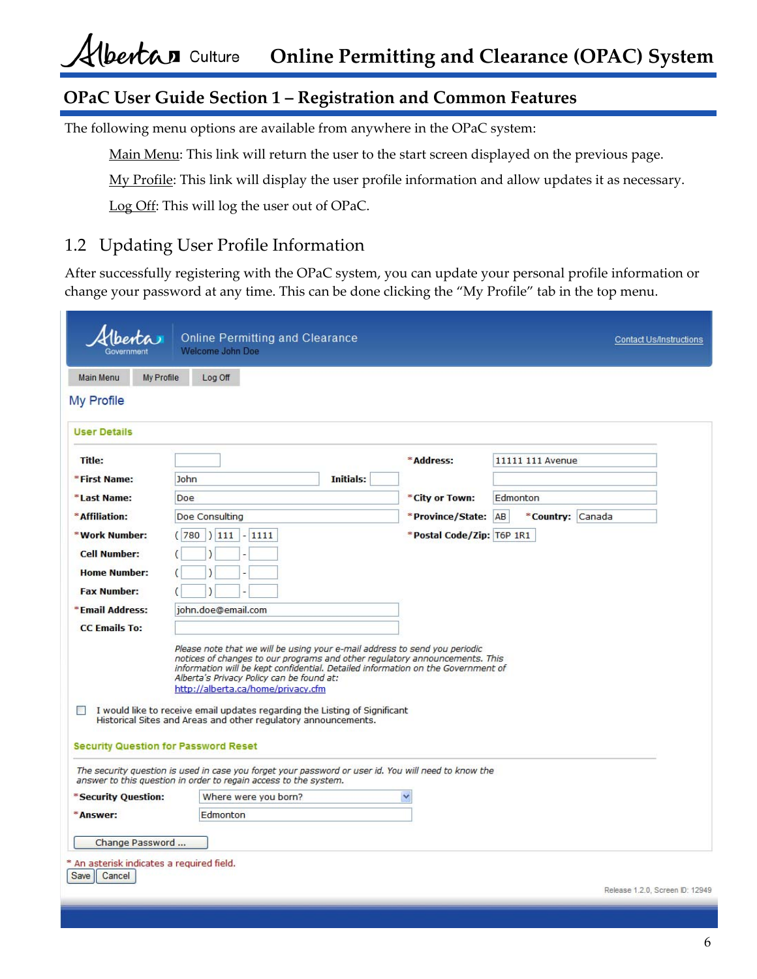# **OPaC User Guide Section 1 – Registration and Common Features**

The following menu options are available from anywhere in the OPaC system:

Main Menu: This link will return the user to the start screen displayed on the previous page.

My Profile: This link will display the user profile information and allow updates it as necessary.

Log Off: This will log the user out of OPaC.

### 1.2 Updating User Profile Information

After successfully registering with the OPaC system, you can update your personal profile information or change your password at any time. This can be done clicking the "My Profile" tab in the top menu.

|                                                                    | <b>Online Permitting and Clearance</b><br>Welcome John Doe                                                                                                                                                                                                                                                                                                                                                                                                                              |                           |                  | <b>Contact Us/Instructions</b>  |
|--------------------------------------------------------------------|-----------------------------------------------------------------------------------------------------------------------------------------------------------------------------------------------------------------------------------------------------------------------------------------------------------------------------------------------------------------------------------------------------------------------------------------------------------------------------------------|---------------------------|------------------|---------------------------------|
| <b>My Profile</b><br><b>Main Menu</b>                              | Log Off                                                                                                                                                                                                                                                                                                                                                                                                                                                                                 |                           |                  |                                 |
| My Profile                                                         |                                                                                                                                                                                                                                                                                                                                                                                                                                                                                         |                           |                  |                                 |
| <b>User Details</b>                                                |                                                                                                                                                                                                                                                                                                                                                                                                                                                                                         |                           |                  |                                 |
| <b>Title:</b>                                                      |                                                                                                                                                                                                                                                                                                                                                                                                                                                                                         | *Address:                 | 11111 111 Avenue |                                 |
| *First Name:                                                       | John<br>Initials:                                                                                                                                                                                                                                                                                                                                                                                                                                                                       |                           |                  |                                 |
| *Last Name:                                                        | Doe                                                                                                                                                                                                                                                                                                                                                                                                                                                                                     | *City or Town:            | Edmonton         |                                 |
| *Affiliation:                                                      | Doe Consulting                                                                                                                                                                                                                                                                                                                                                                                                                                                                          | *Province/State: AB       | *Country: Canada |                                 |
| *Work Number:                                                      | (780)<br> 111 <br>$-1111$                                                                                                                                                                                                                                                                                                                                                                                                                                                               | *Postal Code/Zip: T6P 1R1 |                  |                                 |
| <b>Cell Number:</b>                                                |                                                                                                                                                                                                                                                                                                                                                                                                                                                                                         |                           |                  |                                 |
| <b>Home Number:</b>                                                |                                                                                                                                                                                                                                                                                                                                                                                                                                                                                         |                           |                  |                                 |
| <b>Fax Number:</b>                                                 |                                                                                                                                                                                                                                                                                                                                                                                                                                                                                         |                           |                  |                                 |
| *Email Address:                                                    | john.doe@email.com                                                                                                                                                                                                                                                                                                                                                                                                                                                                      |                           |                  |                                 |
| <b>CC Emails To:</b>                                               |                                                                                                                                                                                                                                                                                                                                                                                                                                                                                         |                           |                  |                                 |
|                                                                    | Please note that we will be using your e-mail address to send you periodic<br>notices of changes to our programs and other regulatory announcements. This<br>information will be kept confidential. Detailed information on the Government of<br>Alberta's Privacy Policy can be found at:<br>http://alberta.ca/home/privacy.cfm<br>$\Box$ I would like to receive email updates regarding the Listing of Significant<br>Historical Sites and Areas and other regulatory announcements. |                           |                  |                                 |
| <b>Security Question for Password Reset</b>                        |                                                                                                                                                                                                                                                                                                                                                                                                                                                                                         |                           |                  |                                 |
|                                                                    | The security question is used in case you forget your password or user id. You will need to know the<br>answer to this question in order to regain access to the system.                                                                                                                                                                                                                                                                                                                |                           |                  |                                 |
| *Security Question:                                                | Where were you born?                                                                                                                                                                                                                                                                                                                                                                                                                                                                    | Ÿ                         |                  |                                 |
| *Answer:                                                           | Edmonton                                                                                                                                                                                                                                                                                                                                                                                                                                                                                |                           |                  |                                 |
| Change Password                                                    |                                                                                                                                                                                                                                                                                                                                                                                                                                                                                         |                           |                  |                                 |
| * An asterisk indicates a required field.<br><b>Save</b><br>Cancel |                                                                                                                                                                                                                                                                                                                                                                                                                                                                                         |                           |                  | Release 1.2.0. Screen ID: 12949 |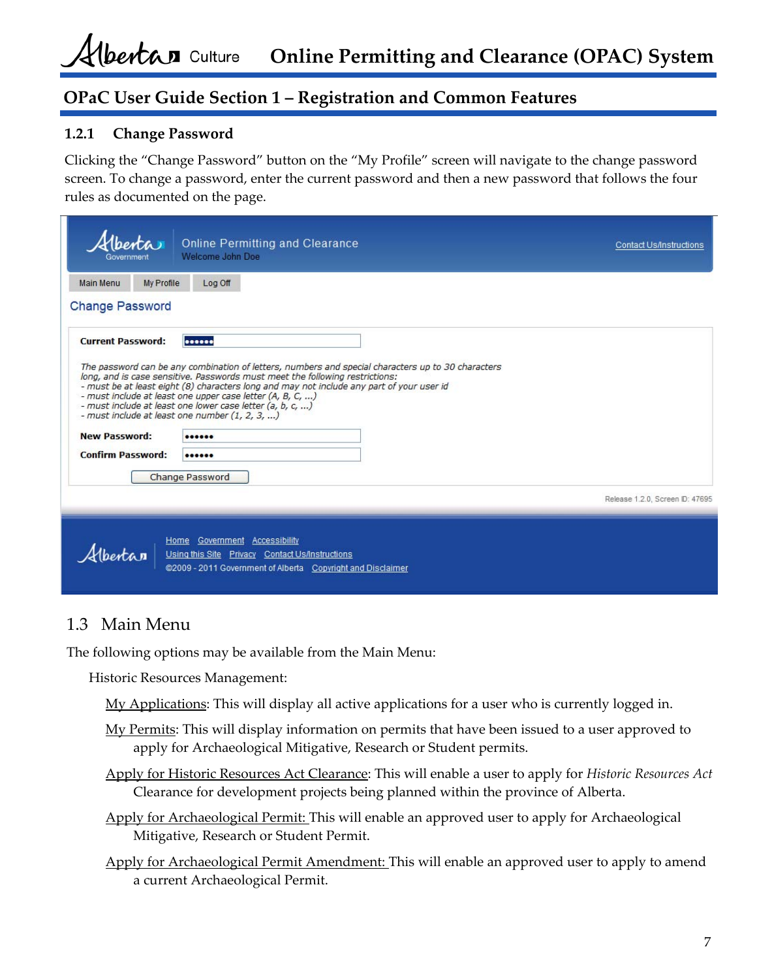## **OPaC User Guide Section 1 – Registration and Common Features**

#### **1.2.1 Change Password**

Clicking the "Change Password" button on the "My Profile" screen will navigate to the change password screen. To change a password, enter the current password and then a new password that follows the four rules as documented on the page.

| lberta<br>Government                                                         | <b>Online Permitting and Clearance</b><br>Welcome John Doe                                                                                                                                                                                                                                                                                                                                                                                                                                   |  | <b>Contact Us/Instructions</b>  |
|------------------------------------------------------------------------------|----------------------------------------------------------------------------------------------------------------------------------------------------------------------------------------------------------------------------------------------------------------------------------------------------------------------------------------------------------------------------------------------------------------------------------------------------------------------------------------------|--|---------------------------------|
| Main Menu<br>My Profile                                                      | Log Off                                                                                                                                                                                                                                                                                                                                                                                                                                                                                      |  |                                 |
| <b>Change Password</b>                                                       |                                                                                                                                                                                                                                                                                                                                                                                                                                                                                              |  |                                 |
| <b>Current Password:</b><br><b>New Password:</b><br><b>Confirm Password:</b> | <br>The password can be any combination of letters, numbers and special characters up to 30 characters<br>long, and is case sensitive. Passwords must meet the following restrictions:<br>- must be at least eight (8) characters long and may not include any part of your user id<br>- must include at least one upper case letter (A, B, C, )<br>- must include at least one lower case letter (a, b, c, )<br>- must include at least one number $(1, 2, 3, )$<br><br><br>Change Password |  |                                 |
|                                                                              |                                                                                                                                                                                                                                                                                                                                                                                                                                                                                              |  | Release 1.2.0, Screen ID: 47695 |
|                                                                              | Home Government Accessibility<br>Using this Site Privacy Contact Us/Instructions<br>@2009 - 2011 Government of Alberta Copyright and Disclaimer                                                                                                                                                                                                                                                                                                                                              |  |                                 |

## 1.3 Main Menu

The following options may be available from the Main Menu:

Historic Resources Management:

My Applications: This will display all active applications for a user who is currently logged in.

- My Permits: This will display information on permits that have been issued to a user approved to apply for Archaeological Mitigative, Research or Student permits.
- Apply for Historic Resources Act Clearance: This will enable a user to apply for *Historic Resources Act* Clearance for development projects being planned within the province of Alberta.
- Apply for Archaeological Permit: This will enable an approved user to apply for Archaeological Mitigative, Research or Student Permit.
- Apply for Archaeological Permit Amendment: This will enable an approved user to apply to amend a current Archaeological Permit.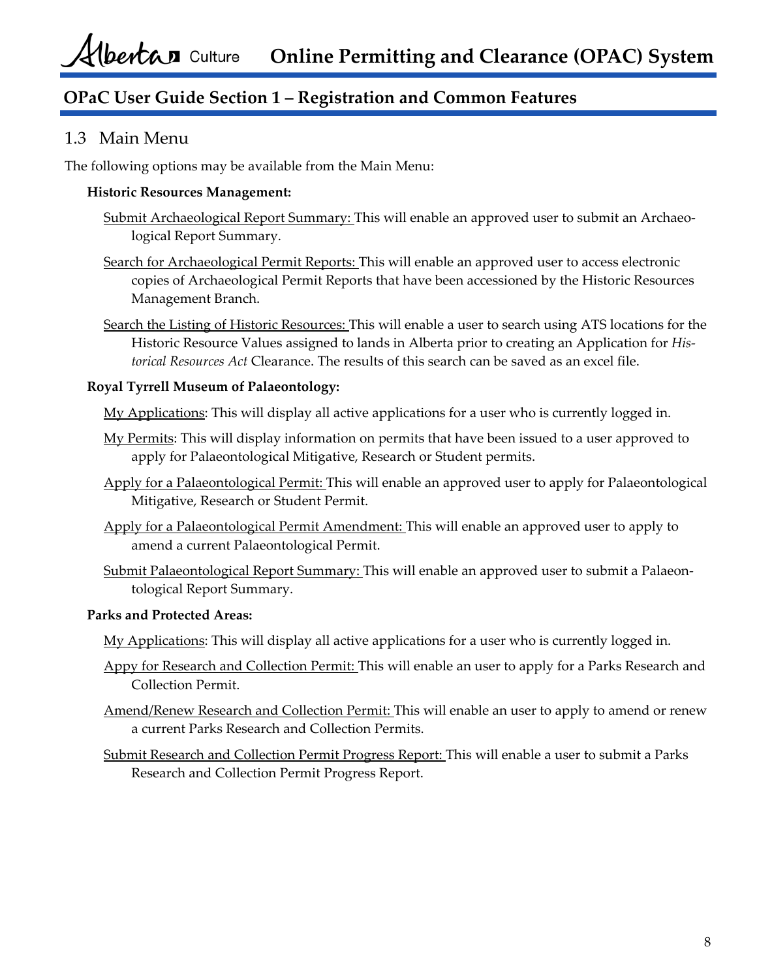# **OPaC User Guide Section 1 – Registration and Common Features**

### 1.3 Main Menu

The following options may be available from the Main Menu:

#### **Historic Resources Management:**

- Submit Archaeological Report Summary: This will enable an approved user to submit an Archaeo‐ logical Report Summary.
- Search for Archaeological Permit Reports: This will enable an approved user to access electronic copies of Archaeological Permit Reports that have been accessioned by the Historic Resources Management Branch.
- Search the Listing of Historic Resources: This will enable a user to search using ATS locations for the Historic Resource Values assigned to lands in Alberta prior to creating an Application for *His‐ torical Resources Act* Clearance. The results of this search can be saved as an excel file.

#### **Royal Tyrrell Museum of Palaeontology:**

My Applications: This will display all active applications for a user who is currently logged in.

- My Permits: This will display information on permits that have been issued to a user approved to apply for Palaeontological Mitigative, Research or Student permits.
- Apply for a Palaeontological Permit: This will enable an approved user to apply for Palaeontological Mitigative, Research or Student Permit.
- Apply for a Palaeontological Permit Amendment: This will enable an approved user to apply to amend a current Palaeontological Permit.
- Submit Palaeontological Report Summary: This will enable an approved user to submit a Palaeontological Report Summary.

#### **Parks and Protected Areas:**

My Applications: This will display all active applications for a user who is currently logged in.

- Appy for Research and Collection Permit: This will enable an user to apply for a Parks Research and Collection Permit.
- Amend/Renew Research and Collection Permit: This will enable an user to apply to amend or renew a current Parks Research and Collection Permits.
- Submit Research and Collection Permit Progress Report: This will enable a user to submit a Parks Research and Collection Permit Progress Report.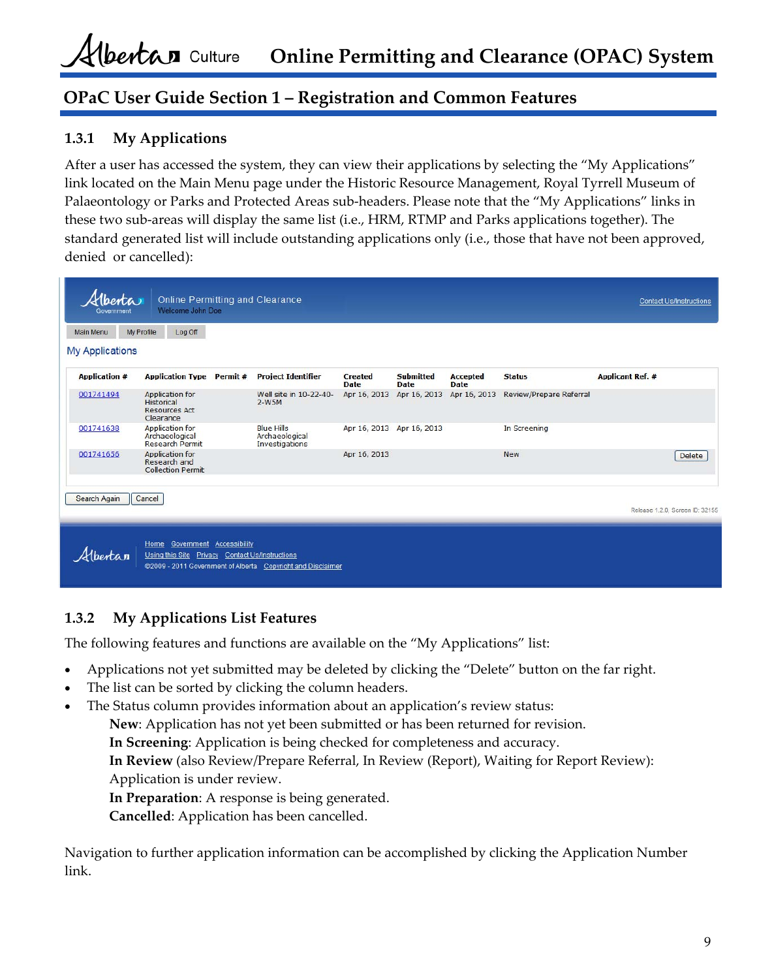## **OPaC User Guide Section 1 – Registration and Common Features**

### **1.3.1 My Applications**

After a user has accessed the system, they can view their applications by selecting the "My Applications" link located on the Main Menu page under the Historic Resource Management, Royal Tyrrell Museum of Palaeontology or Parks and Protected Areas sub‐headers. Please note that the "My Applications" links in these two sub‐areas will display the same list (i.e., HRM, RTMP and Parks applications together). The standard generated list will include outstanding applications only (i.e., those that have not been approved, denied or cancelled):

| <b>Main Menu</b><br><b>My Applications</b> | My Profile                     | Log Off                                                            |                                 |                                                       |                               |                                 |                                |                         |                                 |        |
|--------------------------------------------|--------------------------------|--------------------------------------------------------------------|---------------------------------|-------------------------------------------------------|-------------------------------|---------------------------------|--------------------------------|-------------------------|---------------------------------|--------|
| <b>Application #</b>                       |                                |                                                                    | <b>Application Type Permit#</b> | <b>Project Identifier</b>                             | <b>Created</b><br><b>Date</b> | <b>Submitted</b><br><b>Date</b> | <b>Accepted</b><br><b>Date</b> | <b>Status</b>           | <b>Applicant Ref. #</b>         |        |
| 001741494                                  | <b>Historical</b><br>Clearance | <b>Application for</b><br><b>Resources Act</b>                     |                                 | Well site in 10-22-40-<br>$2-W5M$                     | Apr 16, 2013                  | Apr 16, 2013                    | Apr 16, 2013                   | Review/Prepare Referral |                                 |        |
| 001741638                                  |                                | <b>Application for</b><br>Archaeological<br><b>Research Permit</b> |                                 | <b>Blue Hills</b><br>Archaeological<br>Investigations | Apr 16, 2013 Apr 16, 2013     |                                 |                                | In Screening            |                                 |        |
| 001741656                                  |                                | <b>Application for</b><br>Research and<br><b>Collection Permit</b> |                                 |                                                       | Apr 16, 2013                  |                                 |                                | <b>New</b>              |                                 | Delete |
| Search Again                               | Cancel                         |                                                                    |                                 |                                                       |                               |                                 |                                |                         |                                 |        |
|                                            |                                |                                                                    |                                 |                                                       |                               |                                 |                                |                         | Release 1.2.0, Screen ID: 32155 |        |

### **1.3.2 My Applications List Features**

The following features and functions are available on the "My Applications" list:

- Applications not yet submitted may be deleted by clicking the "Delete" button on the far right.
- The list can be sorted by clicking the column headers.
- The Status column provides information about an application's review status:

**New**: Application has not yet been submitted or has been returned for revision.

**In Screening**: Application is being checked for completeness and accuracy.

**In Review** (also Review/Prepare Referral, In Review (Report), Waiting for Report Review): Application is under review.

**In Preparation**: A response is being generated.

**Cancelled**: Application has been cancelled.

Navigation to further application information can be accomplished by clicking the Application Number link.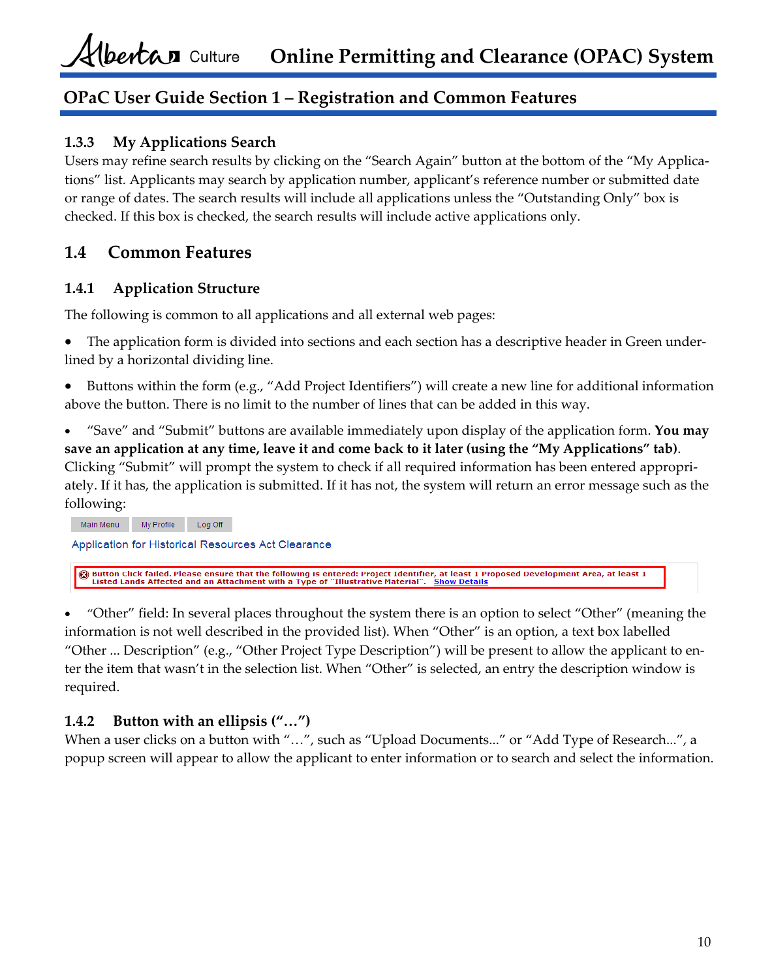# **OPaC User Guide Section 1 – Registration and Common Features**

### **1.3.3 My Applications Search**

Users may refine search results by clicking on the "Search Again" button at the bottom of the "My Applica‐ tions" list. Applicants may search by application number, applicant's reference number or submitted date or range of dates. The search results will include all applications unless the "Outstanding Only" box is checked. If this box is checked, the search results will include active applications only.

# **1.4 Common Features**

### **1.4.1 Application Structure**

The following is common to all applications and all external web pages:

- The application form is divided into sections and each section has a descriptive header in Green under‐ lined by a horizontal dividing line.
- Buttons within the form (e.g., "Add Project Identifiers") will create a new line for additional information above the button. There is no limit to the number of lines that can be added in this way.
- "Save" and "Submit" buttons are available immediately upon display of the application form. **You may** save an application at any time, leave it and come back to it later (using the "My Applications" tab). Clicking "Submit" will prompt the system to check if all required information has been entered appropri‐ ately. If it has, the application is submitted. If it has not, the system will return an error message such as the following:

Main Menu My Profile Log Off Application for Historical Resources Act Clearance **G** Button Click failed. Please ensure that the following is entered: Project Identifier, at least 1 Proposed Development Area, at least 1<br>Listed Lands Affected and an Attachment with a Type of "Illustrative Material". Sho

 "Other" field: In several places throughout the system there is an option to select "Other" (meaning the information is not well described in the provided list). When "Other" is an option, a text box labelled "Other ... Description" (e.g., "Other Project Type Description") will be present to allow the applicant to en‐ ter the item that wasn't in the selection list. When "Other" is selected, an entry the description window is required.

## **1.4.2 Button with an ellipsis ("…")**

When a user clicks on a button with "...", such as "Upload Documents..." or "Add Type of Research...", a popup screen will appear to allow the applicant to enter information or to search and select the information.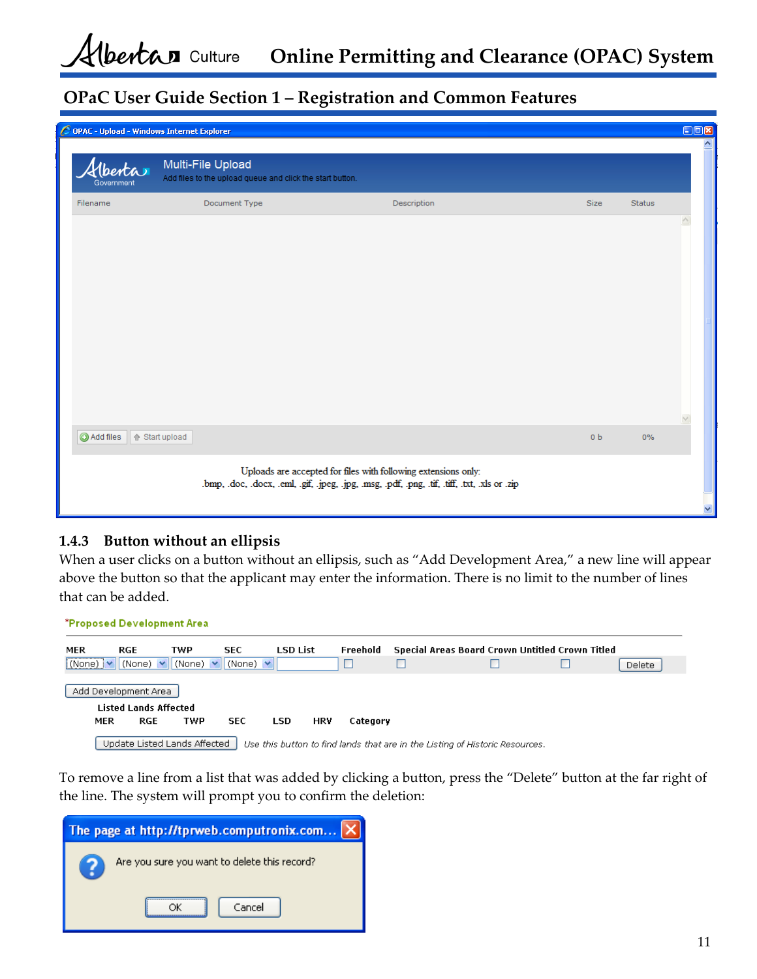# **OPaC User Guide Section 1 – Registration and Common Features**

|                               | C OPAC - Upload - Windows Internet Explorer                                    |                                                                                                                                                                 |                |               | OOR<br>۸ |
|-------------------------------|--------------------------------------------------------------------------------|-----------------------------------------------------------------------------------------------------------------------------------------------------------------|----------------|---------------|----------|
| <u> Ubertar</u><br>Government | Multi-File Upload<br>Add files to the upload queue and click the start button. |                                                                                                                                                                 |                |               |          |
| Filename                      | Document Type                                                                  | Description                                                                                                                                                     | Size           | <b>Status</b> |          |
|                               |                                                                                |                                                                                                                                                                 |                |               |          |
| Add files   + Start upload    |                                                                                |                                                                                                                                                                 | 0 <sub>b</sub> | 0%            |          |
|                               |                                                                                | Uploads are accepted for files with following extensions only:<br>.bmp, .doc, .docx, .eml, .gif, .jpeg, .jpg, .msg, .pdf, .png, .tif, .tiff, .txt, .xls or .zip |                |               |          |
|                               |                                                                                |                                                                                                                                                                 |                |               | v        |

### **1.4.3 Button without an ellipsis**

When a user clicks on a button without an ellipsis, such as "Add Development Area," a new line will appear above the button so that the applicant may enter the information. There is no limit to the number of lines that can be added.

\*Proposed Development Area **TWP SEC LSD List** Freehold Special Areas Board Crown Untitled Crown Titled **MER RGE**  $\boxed{\text{(None)}} \times \text{(None)} \times \text{(None)} \times \text{(None)}$  $\Box$  $\Box$ П П **Delete** Add Development Area **Listed Lands Affected** MER  ${\sf RGE}$ **TWP SEC LSD HRV** Category Update Listed Lands Affected  $\parallel$  Use this button to find lands that are in the Listing of Historic Resources.

To remove a line from a list that was added by clicking a button, press the "Delete" button at the far right of the line. The system will prompt you to confirm the deletion:

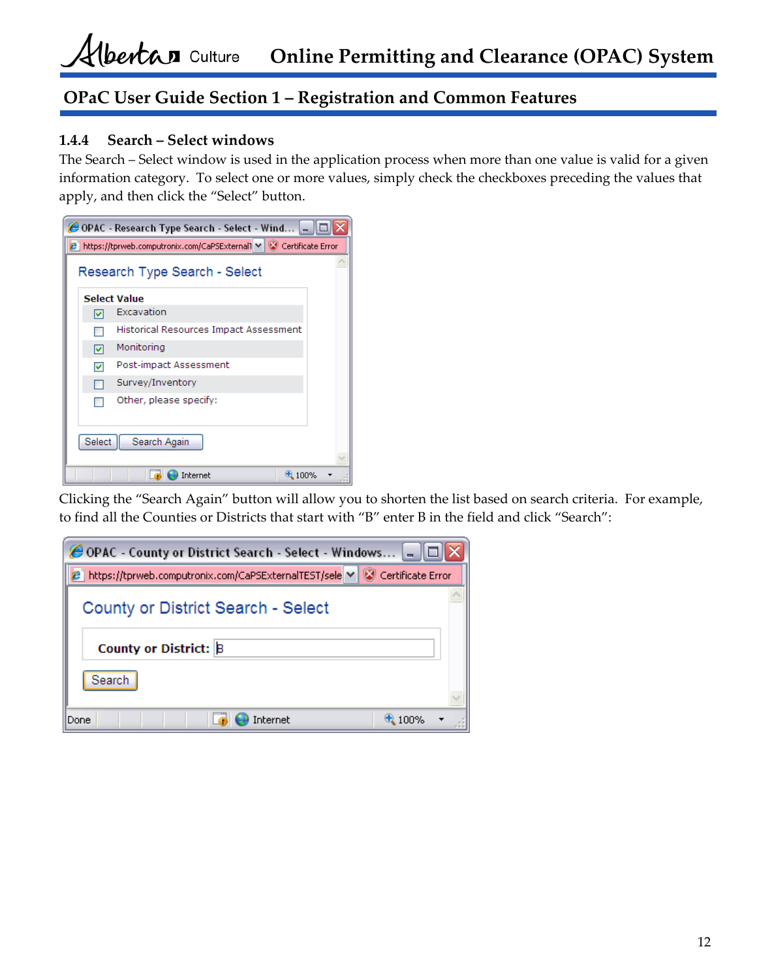## **OPaC User Guide Section 1 – Registration and Common Features**

#### **1.4.4 Search – Select windows**

The Search – Select window is used in the application process when more than one value is valid for a given information category. To select one or more values, simply check the checkboxes preceding the values that apply, and then click the "Select" button.



Clicking the "Search Again" button will allow you to shorten the list based on search criteria. For example, to find all the Counties or Districts that start with "B" enter B in the field and click "Search":

| <b>@OPAC</b> - County or District Search - Select - Windows |                   |
|-------------------------------------------------------------|-------------------|
| https://tprweb.computronix.com/CaPSExternalTEST/sele M      | Certificate Error |
| County or District Search - Select                          |                   |
| County or District: B                                       |                   |
| Search                                                      |                   |
| internet<br>Done                                            |                   |